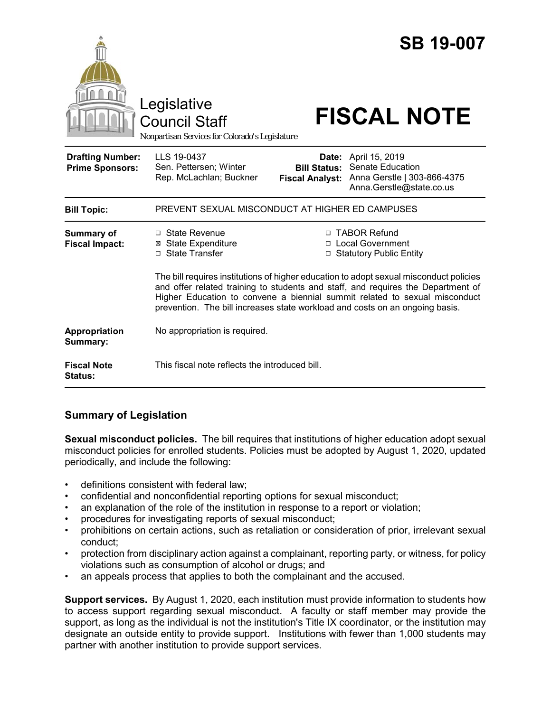|                                                   | Legislative<br><b>Council Staff</b><br>Nonpartisan Services for Colorado's Legislature                                                                                                                                                                                                                                                   |                                               | <b>SB 19-007</b><br><b>FISCAL NOTE</b>                                                              |
|---------------------------------------------------|------------------------------------------------------------------------------------------------------------------------------------------------------------------------------------------------------------------------------------------------------------------------------------------------------------------------------------------|-----------------------------------------------|-----------------------------------------------------------------------------------------------------|
| <b>Drafting Number:</b><br><b>Prime Sponsors:</b> | LLS 19-0437<br>Sen. Pettersen; Winter<br>Rep. McLachlan; Buckner                                                                                                                                                                                                                                                                         | <b>Bill Status:</b><br><b>Fiscal Analyst:</b> | Date: April 15, 2019<br>Senate Education<br>Anna Gerstle   303-866-4375<br>Anna.Gerstle@state.co.us |
| <b>Bill Topic:</b>                                | PREVENT SEXUAL MISCONDUCT AT HIGHER ED CAMPUSES                                                                                                                                                                                                                                                                                          |                                               |                                                                                                     |
| <b>Summary of</b><br><b>Fiscal Impact:</b>        | $\Box$ State Revenue<br><b>⊠</b> State Expenditure<br>□ State Transfer                                                                                                                                                                                                                                                                   |                                               | □ TABOR Refund<br>□ Local Government<br>□ Statutory Public Entity                                   |
|                                                   | The bill requires institutions of higher education to adopt sexual misconduct policies<br>and offer related training to students and staff, and requires the Department of<br>Higher Education to convene a biennial summit related to sexual misconduct<br>prevention. The bill increases state workload and costs on an ongoing basis. |                                               |                                                                                                     |
| Appropriation<br>Summary:                         | No appropriation is required.                                                                                                                                                                                                                                                                                                            |                                               |                                                                                                     |
| <b>Fiscal Note</b><br><b>Status:</b>              | This fiscal note reflects the introduced bill.                                                                                                                                                                                                                                                                                           |                                               |                                                                                                     |

# **Summary of Legislation**

**Sexual misconduct policies.** The bill requires that institutions of higher education adopt sexual misconduct policies for enrolled students. Policies must be adopted by August 1, 2020, updated periodically, and include the following:

- definitions consistent with federal law;
- confidential and nonconfidential reporting options for sexual misconduct;
- an explanation of the role of the institution in response to a report or violation;
- procedures for investigating reports of sexual misconduct;
- prohibitions on certain actions, such as retaliation or consideration of prior, irrelevant sexual conduct;
- protection from disciplinary action against a complainant, reporting party, or witness, for policy violations such as consumption of alcohol or drugs; and
- an appeals process that applies to both the complainant and the accused.

**Support services.** By August 1, 2020, each institution must provide information to students how to access support regarding sexual misconduct. A faculty or staff member may provide the support, as long as the individual is not the institution's Title IX coordinator, or the institution may designate an outside entity to provide support. Institutions with fewer than 1,000 students may partner with another institution to provide support services.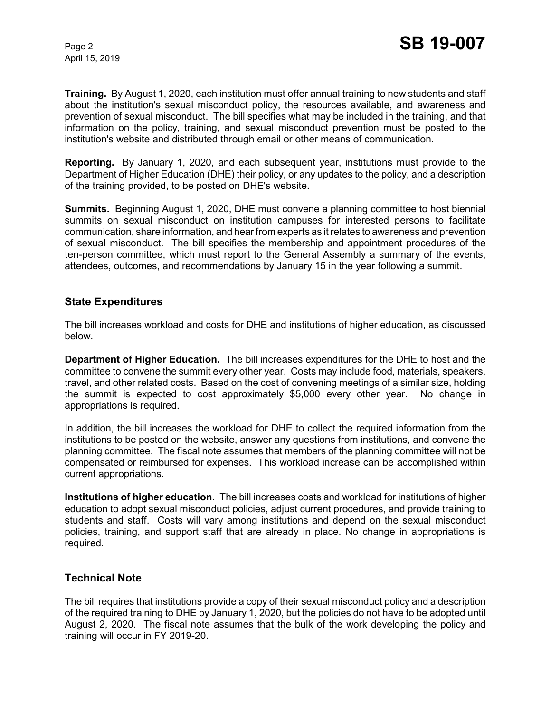April 15, 2019

**Training.** By August 1, 2020, each institution must offer annual training to new students and staff about the institution's sexual misconduct policy, the resources available, and awareness and prevention of sexual misconduct. The bill specifies what may be included in the training, and that information on the policy, training, and sexual misconduct prevention must be posted to the institution's website and distributed through email or other means of communication.

**Reporting.** By January 1, 2020, and each subsequent year, institutions must provide to the Department of Higher Education (DHE) their policy, or any updates to the policy, and a description of the training provided, to be posted on DHE's website.

**Summits.** Beginning August 1, 2020, DHE must convene a planning committee to host biennial summits on sexual misconduct on institution campuses for interested persons to facilitate communication, share information, and hear from experts as it relates to awareness and prevention of sexual misconduct. The bill specifies the membership and appointment procedures of the ten-person committee, which must report to the General Assembly a summary of the events, attendees, outcomes, and recommendations by January 15 in the year following a summit.

#### **State Expenditures**

The bill increases workload and costs for DHE and institutions of higher education, as discussed below.

**Department of Higher Education.** The bill increases expenditures for the DHE to host and the committee to convene the summit every other year. Costs may include food, materials, speakers, travel, and other related costs. Based on the cost of convening meetings of a similar size, holding the summit is expected to cost approximately \$5,000 every other year. No change in appropriations is required.

In addition, the bill increases the workload for DHE to collect the required information from the institutions to be posted on the website, answer any questions from institutions, and convene the planning committee. The fiscal note assumes that members of the planning committee will not be compensated or reimbursed for expenses. This workload increase can be accomplished within current appropriations.

**Institutions of higher education.** The bill increases costs and workload for institutions of higher education to adopt sexual misconduct policies, adjust current procedures, and provide training to students and staff. Costs will vary among institutions and depend on the sexual misconduct policies, training, and support staff that are already in place. No change in appropriations is required.

### **Technical Note**

The bill requires that institutions provide a copy of their sexual misconduct policy and a description of the required training to DHE by January 1, 2020, but the policies do not have to be adopted until August 2, 2020. The fiscal note assumes that the bulk of the work developing the policy and training will occur in FY 2019-20.